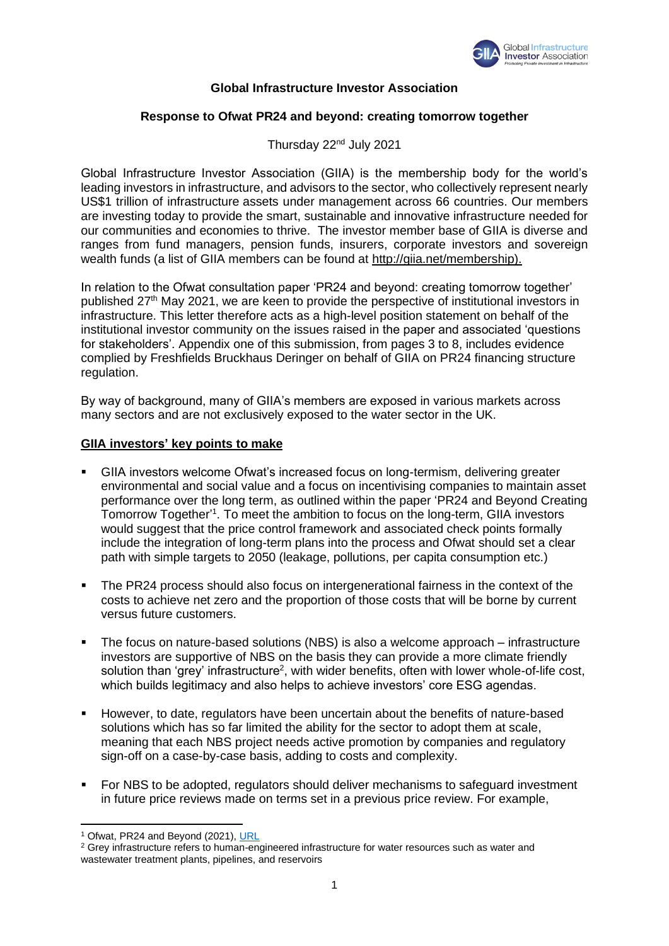

## **Global Infrastructure Investor Association**

## **Response to Ofwat PR24 and beyond: creating tomorrow together**

Thursday 22nd July 2021

Global Infrastructure Investor Association (GIIA) is the membership body for the world's leading investors in infrastructure, and advisors to the sector, who collectively represent nearly US\$1 trillion of infrastructure assets under management across 66 countries. Our members are investing today to provide the smart, sustainable and innovative infrastructure needed for our communities and economies to thrive. The investor member base of GIIA is diverse and ranges from fund managers, pension funds, insurers, corporate investors and sovereign wealth funds (a list of GIIA members can be found at [http://giia.net/membership\).](http://giia.net/membership).) 

In relation to the Ofwat consultation paper 'PR24 and beyond: creating tomorrow together' published 27th May 2021, we are keen to provide the perspective of institutional investors in infrastructure. This letter therefore acts as a high-level position statement on behalf of the institutional investor community on the issues raised in the paper and associated 'questions for stakeholders'. Appendix one of this submission, from pages 3 to 8, includes evidence complied by Freshfields Bruckhaus Deringer on behalf of GIIA on PR24 financing structure regulation.

By way of background, many of GIIA's members are exposed in various markets across many sectors and are not exclusively exposed to the water sector in the UK.

#### **GIIA investors' key points to make**

- **GIIA investors welcome Ofwat's increased focus on long-termism, delivering greater** environmental and social value and a focus on incentivising companies to maintain asset performance over the long term, as outlined within the paper 'PR24 and Beyond Creating Tomorrow Together<sup>11</sup>. To meet the ambition to focus on the long-term, GIIA investors would suggest that the price control framework and associated check points formally include the integration of long-term plans into the process and Ofwat should set a clear path with simple targets to 2050 (leakage, pollutions, per capita consumption etc.)
- **The PR24 process should also focus on intergenerational fairness in the context of the** costs to achieve net zero and the proportion of those costs that will be borne by current versus future customers.
- The focus on nature-based solutions (NBS) is also a welcome approach infrastructure investors are supportive of NBS on the basis they can provide a more climate friendly solution than 'grey' infrastructure<sup>2</sup>, with wider benefits, often with lower whole-of-life cost, which builds legitimacy and also helps to achieve investors' core ESG agendas.
- However, to date, regulators have been uncertain about the benefits of nature-based solutions which has so far limited the ability for the sector to adopt them at scale, meaning that each NBS project needs active promotion by companies and regulatory sign-off on a case-by-case basis, adding to costs and complexity.
- For NBS to be adopted, regulators should deliver mechanisms to safeguard investment in future price reviews made on terms set in a previous price review. For example,

<sup>1</sup> Ofwat, PR24 and Beyond (2021), [URL](https://www.ofwat.gov.uk/regulated-companies/price-review/2024-price-review/pr24-and-beyond-creating-tomorrow-together/)

<sup>&</sup>lt;sup>2</sup> Grey infrastructure refers to human-engineered infrastructure for water resources such as water and wastewater treatment plants, pipelines, and reservoirs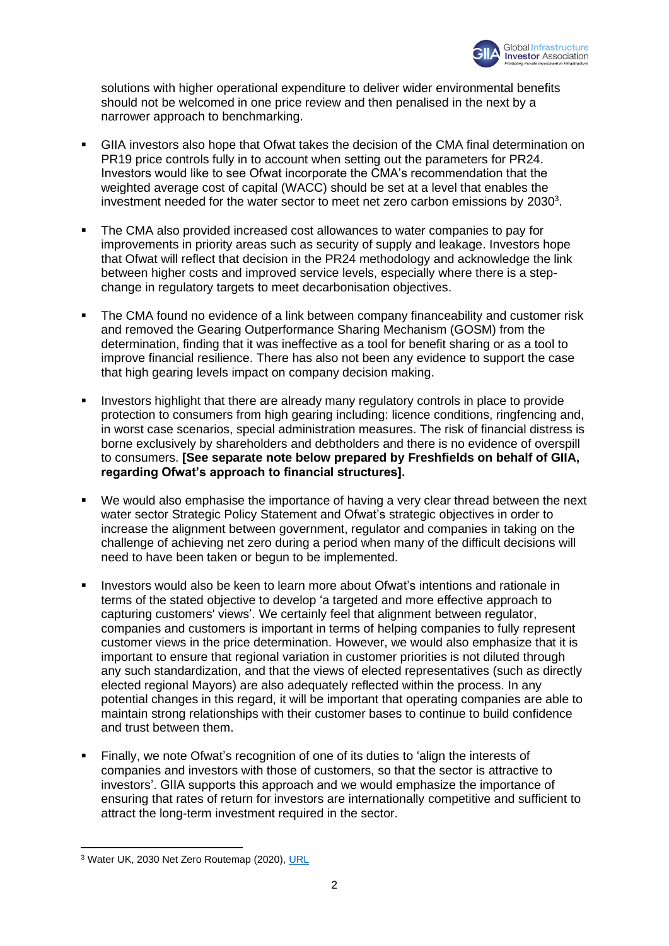

solutions with higher operational expenditure to deliver wider environmental benefits should not be welcomed in one price review and then penalised in the next by a narrower approach to benchmarking.

- GIIA investors also hope that Ofwat takes the decision of the CMA final determination on PR19 price controls fully in to account when setting out the parameters for PR24. Investors would like to see Ofwat incorporate the CMA's recommendation that the weighted average cost of capital (WACC) should be set at a level that enables the investment needed for the water sector to meet net zero carbon emissions by  $2030<sup>3</sup>$ .
- The CMA also provided increased cost allowances to water companies to pay for improvements in priority areas such as security of supply and leakage. Investors hope that Ofwat will reflect that decision in the PR24 methodology and acknowledge the link between higher costs and improved service levels, especially where there is a stepchange in regulatory targets to meet decarbonisation objectives.
- The CMA found no evidence of a link between company financeability and customer risk and removed the Gearing Outperformance Sharing Mechanism (GOSM) from the determination, finding that it was ineffective as a tool for benefit sharing or as a tool to improve financial resilience. There has also not been any evidence to support the case that high gearing levels impact on company decision making.
- Investors highlight that there are already many regulatory controls in place to provide protection to consumers from high gearing including: licence conditions, ringfencing and, in worst case scenarios, special administration measures. The risk of financial distress is borne exclusively by shareholders and debtholders and there is no evidence of overspill to consumers. **[See separate note below prepared by Freshfields on behalf of GIIA, regarding Ofwat's approach to financial structures].**
- We would also emphasise the importance of having a very clear thread between the next water sector Strategic Policy Statement and Ofwat's strategic objectives in order to increase the alignment between government, regulator and companies in taking on the challenge of achieving net zero during a period when many of the difficult decisions will need to have been taken or begun to be implemented.
- Investors would also be keen to learn more about Ofwat's intentions and rationale in terms of the stated objective to develop 'a targeted and more effective approach to capturing customers' views'. We certainly feel that alignment between regulator, companies and customers is important in terms of helping companies to fully represent customer views in the price determination. However, we would also emphasize that it is important to ensure that regional variation in customer priorities is not diluted through any such standardization, and that the views of elected representatives (such as directly elected regional Mayors) are also adequately reflected within the process. In any potential changes in this regard, it will be important that operating companies are able to maintain strong relationships with their customer bases to continue to build confidence and trust between them.
- Finally, we note Ofwat's recognition of one of its duties to 'align the interests of companies and investors with those of customers, so that the sector is attractive to investors'. GIIA supports this approach and we would emphasize the importance of ensuring that rates of return for investors are internationally competitive and sufficient to attract the long-term investment required in the sector.

<sup>&</sup>lt;sup>3</sup> Water UK, 2030 Net Zero Routemap (2020), [URL](https://www.water.org.uk/routemap2030/)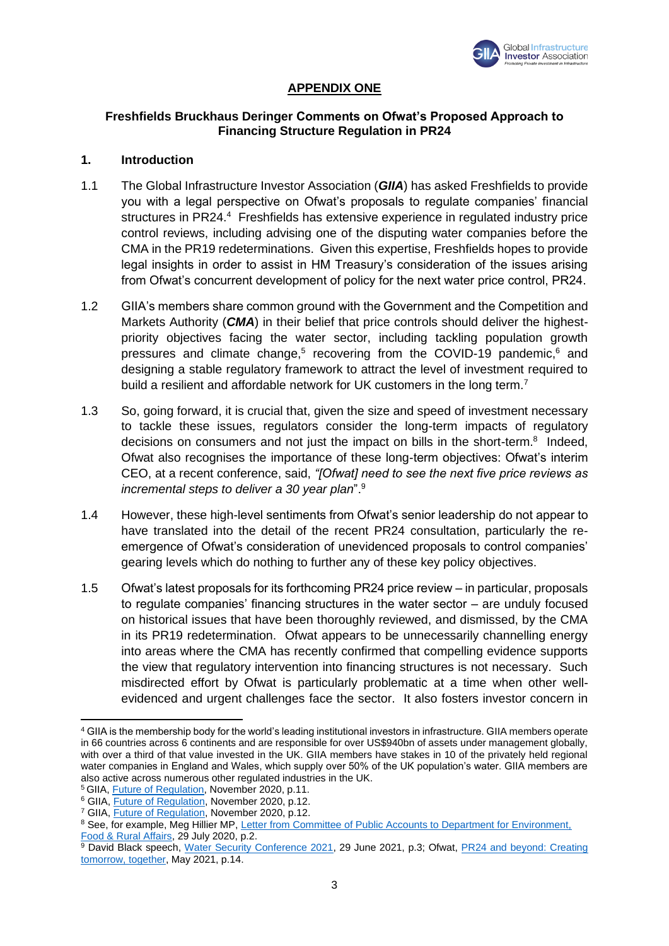

# **APPENDIX ONE**

### **Freshfields Bruckhaus Deringer Comments on Ofwat's Proposed Approach to Financing Structure Regulation in PR24**

## **1. Introduction**

- 1.1 The Global Infrastructure Investor Association (*GIIA*) has asked Freshfields to provide you with a legal perspective on Ofwat's proposals to regulate companies' financial structures in PR24.<sup>4</sup> Freshfields has extensive experience in regulated industry price control reviews, including advising one of the disputing water companies before the CMA in the PR19 redeterminations. Given this expertise, Freshfields hopes to provide legal insights in order to assist in HM Treasury's consideration of the issues arising from Ofwat's concurrent development of policy for the next water price control, PR24.
- 1.2 GIIA's members share common ground with the Government and the Competition and Markets Authority (*CMA*) in their belief that price controls should deliver the highestpriority objectives facing the water sector, including tackling population growth pressures and climate change,<sup>5</sup> recovering from the COVID-19 pandemic,<sup>6</sup> and designing a stable regulatory framework to attract the level of investment required to build a resilient and affordable network for UK customers in the long term.<sup>7</sup>
- 1.3 So, going forward, it is crucial that, given the size and speed of investment necessary to tackle these issues, regulators consider the long-term impacts of regulatory decisions on consumers and not just the impact on bills in the short-term.<sup>8</sup> Indeed, Ofwat also recognises the importance of these long-term objectives: Ofwat's interim CEO, at a recent conference, said, *"[Ofwat] need to see the next five price reviews as incremental steps to deliver a 30 year plan*".<sup>9</sup>
- 1.4 However, these high-level sentiments from Ofwat's senior leadership do not appear to have translated into the detail of the recent PR24 consultation, particularly the reemergence of Ofwat's consideration of unevidenced proposals to control companies' gearing levels which do nothing to further any of these key policy objectives.
- 1.5 Ofwat's latest proposals for its forthcoming PR24 price review in particular, proposals to regulate companies' financing structures in the water sector – are unduly focused on historical issues that have been thoroughly reviewed, and dismissed, by the CMA in its PR19 redetermination. Ofwat appears to be unnecessarily channelling energy into areas where the CMA has recently confirmed that compelling evidence supports the view that regulatory intervention into financing structures is not necessary. Such misdirected effort by Ofwat is particularly problematic at a time when other wellevidenced and urgent challenges face the sector. It also fosters investor concern in

<sup>4</sup> GIIA is the membership body for the world's leading institutional investors in infrastructure. GIIA members operate in 66 countries across 6 continents and are responsible for over US\$940bn of assets under management globally, with over a third of that value invested in the UK. GIIA members have stakes in 10 of the privately held regional water companies in England and Wales, which supply over 50% of the UK population's water. GIIA members are also active across numerous other regulated industries in the UK.

<sup>&</sup>lt;sup>5</sup> GIIA, **Future of Regulation**, November 2020, p.11.

<sup>6</sup> GIIA, [Future of Regulation,](http://giia.net/wp-content/uploads/2020/11/The-Future-of-Regulation-GIIA-Nov-2020.pdf) November 2020, p.12.

<sup>7</sup> GIIA, [Future of Regulation,](http://giia.net/wp-content/uploads/2020/11/The-Future-of-Regulation-GIIA-Nov-2020.pdf) November 2020, p.12.

<sup>8</sup> See, for example, Meg Hillier MP, Letter from Committee of Public Accounts to Department for Environment, [Food & Rural Affairs,](https://committees.parliament.uk/publications/2569/documents/25858/default/) 29 July 2020, p.2.

<sup>9</sup> David Black speech, [Water Security Conference 2021,](https://www.ofwat.gov.uk/wp-content/uploads/2021/06/David-Black-WWT-Speech-29-June.pdf) 29 June 2021, p.3; Ofwat, **PR24 and beyond: Creating** [tomorrow, together,](https://www.ofwat.gov.uk/wp-content/uploads/2021/05/PR24-and-Beyond-Creating-tomorrow-together.pdf) May 2021, p.14.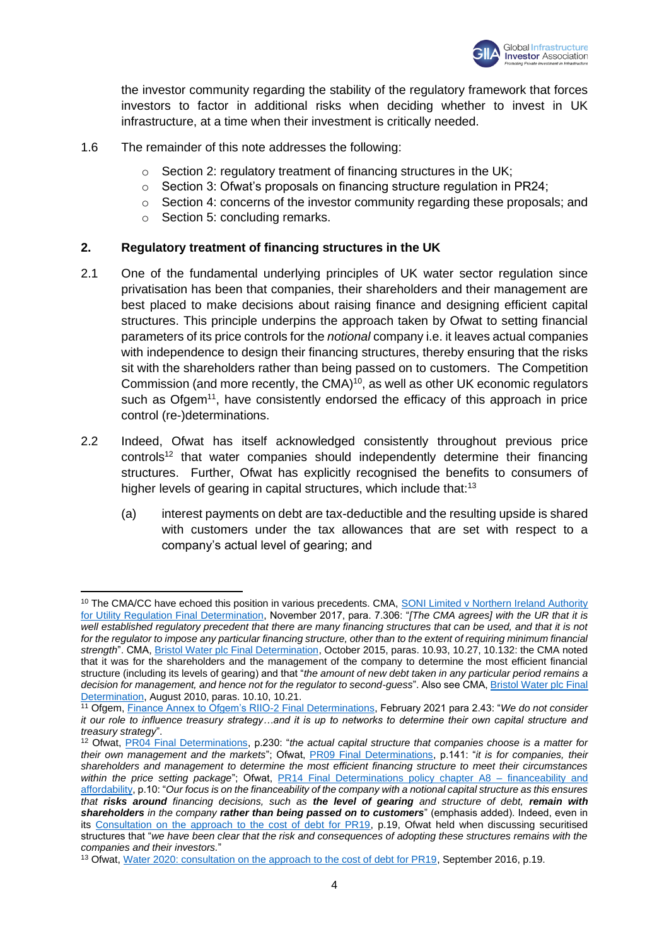

the investor community regarding the stability of the regulatory framework that forces investors to factor in additional risks when deciding whether to invest in UK infrastructure, at a time when their investment is critically needed.

- 1.6 The remainder of this note addresses the following:
	- $\circ$  Section 2: regulatory treatment of financing structures in the UK;
	- o Section 3: Ofwat's proposals on financing structure regulation in PR24;
	- o Section 4: concerns of the investor community regarding these proposals; and
	- o Section 5: concluding remarks.

#### **2. Regulatory treatment of financing structures in the UK**

- 2.1 One of the fundamental underlying principles of UK water sector regulation since privatisation has been that companies, their shareholders and their management are best placed to make decisions about raising finance and designing efficient capital structures. This principle underpins the approach taken by Ofwat to setting financial parameters of its price controls for the *notional* company i.e. it leaves actual companies with independence to design their financing structures, thereby ensuring that the risks sit with the shareholders rather than being passed on to customers. The Competition Commission (and more recently, the CMA)<sup>10</sup>, as well as other UK economic regulators such as Ofgem<sup>11</sup>, have consistently endorsed the efficacy of this approach in price control (re-)determinations.
- 2.2 Indeed, Ofwat has itself acknowledged consistently throughout previous price controls<sup>12</sup> that water companies should independently determine their financing structures. Further, Ofwat has explicitly recognised the benefits to consumers of higher levels of gearing in capital structures, which include that:<sup>13</sup>
	- (a) interest payments on debt are tax-deductible and the resulting upside is shared with customers under the tax allowances that are set with respect to a company's actual level of gearing; and

<sup>&</sup>lt;sup>10</sup> The CMA/CC have echoed this position in various precedents. CMA, SONI Limited v Northern Ireland Authority [for Utility Regulation Final Determination,](https://assets.publishing.service.gov.uk/media/5a09a73ce5274a0ee5a1f189/soni-niaur-final-determination.pdf) November 2017, para. 7.306: "*[The CMA agrees] with the UR that it is well established regulatory precedent that there are many financing structures that can be used, and that it is not for the regulator to impose any particular financing structure, other than to the extent of requiring minimum financial strength*". CMA[, Bristol Water plc Final Determination,](https://assets.publishing.service.gov.uk/media/56279924ed915d194b000001/Bristol_Water_plc_final_determination.pdf) October 2015, paras. 10.93, 10.27, 10.132: the CMA noted that it was for the shareholders and the management of the company to determine the most efficient financial structure (including its levels of gearing) and that "*the amount of new debt taken in any particular period remains a decision for management, and hence not for the regulator to second-guess*". Also see CMA[, Bristol Water plc Final](https://assets.publishing.service.gov.uk/media/55194c70e5274a142b0003bc/558_final_report.pdf)  [Determination,](https://assets.publishing.service.gov.uk/media/55194c70e5274a142b0003bc/558_final_report.pdf) August 2010, paras. 10.10, 10.21.

<sup>11</sup> Ofgem, [Finance Annex to Ofgem's RIIO-2 Final Determinations,](https://www.ofgem.gov.uk/sites/default/files/docs/2021/02/final_determinations_-_finance_annex_revised_002.pdf) February 2021 para 2.43: "*We do not consider it our role to influence treasury strategy…and it is up to networks to determine their own capital structure and treasury strategy*".

<sup>12</sup> Ofwat, [PR04 Final Determinations,](https://www.ofwat.gov.uk/wp-content/uploads/2020/10/PR04-final-determinations-document.pdf) p.230: "*the actual capital structure that companies choose is a matter for their own management and the markets*"; Ofwat, [PR09 Final Determinations,](https://www.ofwat.gov.uk/wp-content/uploads/2015/11/det_pr09_finalfull.pdf) p.141: "*it is for companies, their shareholders and management to determine the most efficient financing structure to meet their circumstances*  within the price setting package"; Ofwat, [PR14 Final Determinations policy chapter A8 –](https://www.ofwat.gov.uk/wp-content/uploads/2015/10/det_pr20141212financeability.pdf) financeability and [affordability,](https://www.ofwat.gov.uk/wp-content/uploads/2015/10/det_pr20141212financeability.pdf) p.10: "*Our focus is on the financeability of the company with a notional capital structure as this ensures that risks around financing decisions, such as the level of gearing and structure of debt, remain with shareholders in the company rather than being passed on to customers*" (emphasis added). Indeed, even in its Consultation [on the approach to the cost of debt for PR19,](https://www.ofwat.gov.uk/wp-content/uploads/2016/09/pap_con20160906costofdebtv2.pdf) p.19, Ofwat held when discussing securitised structures that "*we have been clear that the risk and consequences of adopting these structures remains with the companies and their investors.*"

<sup>&</sup>lt;sup>13</sup> Ofwat[, Water 2020: consultation on the approach to the cost of debt for PR19,](https://www.ofwat.gov.uk/wp-content/uploads/2016/09/pap_con20160906costofdebtv2.pdf) September 2016, p.19.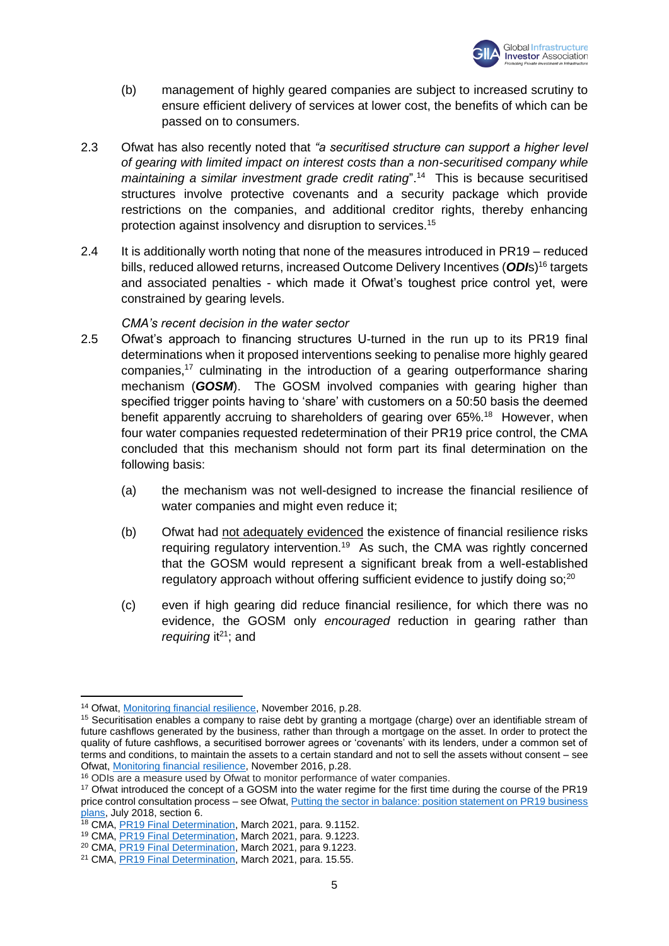

- (b) management of highly geared companies are subject to increased scrutiny to ensure efficient delivery of services at lower cost, the benefits of which can be passed on to consumers.
- 2.3 Ofwat has also recently noted that *"a securitised structure can support a higher level of gearing with limited impact on interest costs than a non-securitised company while*  maintaining a similar investment grade credit rating".<sup>14</sup> This is because securitised structures involve protective covenants and a security package which provide restrictions on the companies, and additional creditor rights, thereby enhancing protection against insolvency and disruption to services.<sup>15</sup>
- 2.4 It is additionally worth noting that none of the measures introduced in PR19 reduced bills, reduced allowed returns, increased Outcome Delivery Incentives (*ODI*s)<sup>16</sup> targets and associated penalties - which made it Ofwat's toughest price control yet, were constrained by gearing levels.

# *CMA's recent decision in the water sector*

- 2.5 Ofwat's approach to financing structures U-turned in the run up to its PR19 final determinations when it proposed interventions seeking to penalise more highly geared companies,<sup>17</sup> culminating in the introduction of a gearing outperformance sharing mechanism (*GOSM*). The GOSM involved companies with gearing higher than specified trigger points having to 'share' with customers on a 50:50 basis the deemed benefit apparently accruing to shareholders of gearing over 65%.<sup>18</sup> However, when four water companies requested redetermination of their PR19 price control, the CMA concluded that this mechanism should not form part its final determination on the following basis:
	- (a) the mechanism was not well-designed to increase the financial resilience of water companies and might even reduce it;
	- (b) Ofwat had not adequately evidenced the existence of financial resilience risks requiring regulatory intervention.<sup>19</sup> As such, the CMA was rightly concerned that the GOSM would represent a significant break from a well-established regulatory approach without offering sufficient evidence to justify doing so;<sup>20</sup>
	- (c) even if high gearing did reduce financial resilience, for which there was no evidence, the GOSM only *encouraged* reduction in gearing rather than *requiring* it<sup>21</sup>; and

<sup>14</sup> Ofwat[, Monitoring financial resilience,](https://www.ofwat.gov.uk/wp-content/uploads/2017/05/Monitoring-financial-resilience-updated-May-2017.pdf) November 2016, p.28.

<sup>&</sup>lt;sup>15</sup> Securitisation enables a company to raise debt by granting a mortgage (charge) over an identifiable stream of future cashflows generated by the business, rather than through a mortgage on the asset. In order to protect the quality of future cashflows, a securitised borrower agrees or 'covenants' with its lenders, under a common set of terms and conditions, to maintain the assets to a certain standard and not to sell the assets without consent – see Ofwat[, Monitoring financial resilience,](https://www.ofwat.gov.uk/wp-content/uploads/2017/05/Monitoring-financial-resilience-updated-May-2017.pdf) November 2016, p.28.

<sup>&</sup>lt;sup>16</sup> ODIs are a measure used by Ofwat to monitor performance of water companies.

<sup>&</sup>lt;sup>17</sup> Ofwat introduced the concept of a GOSM into the water regime for the first time during the course of the PR19 price control consultation process – see Ofwat, [Putting the sector in balance: position statement on PR19 business](https://www.ofwat.gov.uk/wp-content/uploads/2018/04/Putting-the-sector-in-balance-position-statement-on-PR19-business-plans-FINAL2.pdf)  [plans,](https://www.ofwat.gov.uk/wp-content/uploads/2018/04/Putting-the-sector-in-balance-position-statement-on-PR19-business-plans-FINAL2.pdf) July 2018, section 6.

<sup>&</sup>lt;sup>18</sup> CMA, [PR19 Final Determination,](https://assets.publishing.service.gov.uk/media/60702370e90e076f5589bb8f/Final_Report_---_web_version_-_CMA.pdf) March 2021, para. 9.1152.

<sup>19</sup> CMA, [PR19 Final Determination,](https://assets.publishing.service.gov.uk/media/60702370e90e076f5589bb8f/Final_Report_---_web_version_-_CMA.pdf) March 2021, para. 9.1223.

<sup>20</sup> CMA, [PR19 Final Determination,](https://assets.publishing.service.gov.uk/media/60702370e90e076f5589bb8f/Final_Report_---_web_version_-_CMA.pdf) March 2021, para 9.1223.

<sup>&</sup>lt;sup>21</sup> CMA, **PR19 Final Determination**, March 2021, para. 15.55.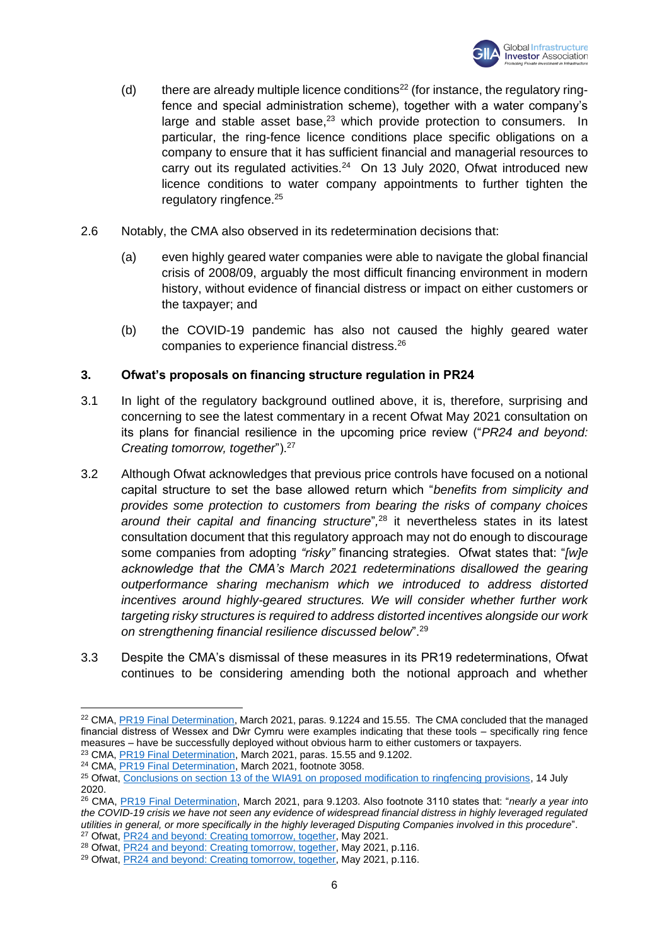

- (d) there are already multiple licence conditions<sup>22</sup> (for instance, the regulatory ringfence and special administration scheme), together with a water company's large and stable asset base, $23$  which provide protection to consumers. In particular, the ring-fence licence conditions place specific obligations on a company to ensure that it has sufficient financial and managerial resources to carry out its regulated activities.<sup>24</sup> On 13 July 2020, Ofwat introduced new licence conditions to water company appointments to further tighten the regulatory ringfence.<sup>25</sup>
- 2.6 Notably, the CMA also observed in its redetermination decisions that:
	- (a) even highly geared water companies were able to navigate the global financial crisis of 2008/09, arguably the most difficult financing environment in modern history, without evidence of financial distress or impact on either customers or the taxpayer; and
	- (b) the COVID-19 pandemic has also not caused the highly geared water companies to experience financial distress.<sup>26</sup>

# **3. Ofwat's proposals on financing structure regulation in PR24**

- 3.1 In light of the regulatory background outlined above, it is, therefore, surprising and concerning to see the latest commentary in a recent Ofwat May 2021 consultation on its plans for financial resilience in the upcoming price review ("*PR24 and beyond: Creating tomorrow, together*").<sup>27</sup>
- 3.2 Although Ofwat acknowledges that previous price controls have focused on a notional capital structure to set the base allowed return which "*benefits from simplicity and provides some protection to customers from bearing the risks of company choices around their capital and financing structure*"*,* <sup>28</sup> it nevertheless states in its latest consultation document that this regulatory approach may not do enough to discourage some companies from adopting *"risky"* financing strategies. Ofwat states that: "*[w]e acknowledge that the CMA's March 2021 redeterminations disallowed the gearing outperformance sharing mechanism which we introduced to address distorted incentives around highly-geared structures. We will consider whether further work targeting risky structures is required to address distorted incentives alongside our work on strengthening financial resilience discussed below*".<sup>29</sup>
- 3.3 Despite the CMA's dismissal of these measures in its PR19 redeterminations, Ofwat continues to be considering amending both the notional approach and whether

<sup>28</sup> Ofwat[, PR24 and beyond: Creating tomorrow, together,](https://www.ofwat.gov.uk/wp-content/uploads/2021/05/PR24-and-Beyond-Creating-tomorrow-together.pdf) May 2021, p.116.

<sup>&</sup>lt;sup>22</sup> CMA, [PR19 Final Determination,](https://assets.publishing.service.gov.uk/media/60702370e90e076f5589bb8f/Final_Report_---_web_version_-_CMA.pdf) March 2021, paras. 9.1224 and 15.55. The CMA concluded that the managed financial distress of Wessex and Dŵr Cymru were examples indicating that these tools – specifically ring fence measures – have be successfully deployed without obvious harm to either customers or taxpayers.

<sup>&</sup>lt;sup>23</sup> CMA, **PR19 Final Determination**, March 2021, paras. 15.55 and 9.1202.

<sup>24</sup> CMA, [PR19 Final Determination,](https://assets.publishing.service.gov.uk/media/60702370e90e076f5589bb8f/Final_Report_---_web_version_-_CMA.pdf) March 2021, footnote 3058.

<sup>&</sup>lt;sup>25</sup> Ofwat, Conclusions on section 13 of the WIA91 on [proposed modification to ringfencing provisions,](https://www.ofwat.gov.uk/wp-content/uploads/2020/07/Conclusions-on-section-13-of-ring-fencing.pdf) 14 July 2020.

<sup>26</sup> CMA, [PR19 Final Determination,](https://assets.publishing.service.gov.uk/media/60702370e90e076f5589bb8f/Final_Report_---_web_version_-_CMA.pdf) March 2021, para 9.1203. Also footnote 3110 states that: "*nearly a year into*  the COVID-19 crisis we have not seen any evidence of widespread financial distress in highly leveraged regulated *utilities in general, or more specifically in the highly leveraged Disputing Companies involved in this procedure*". <sup>27</sup> Ofwat[, PR24 and beyond: Creating tomorrow, together,](https://www.ofwat.gov.uk/wp-content/uploads/2021/05/PR24-and-Beyond-Creating-tomorrow-together.pdf) May 2021.

<sup>&</sup>lt;sup>29</sup> Ofwat[, PR24 and beyond: Creating tomorrow, together,](https://www.ofwat.gov.uk/wp-content/uploads/2021/05/PR24-and-Beyond-Creating-tomorrow-together.pdf) May 2021, p.116.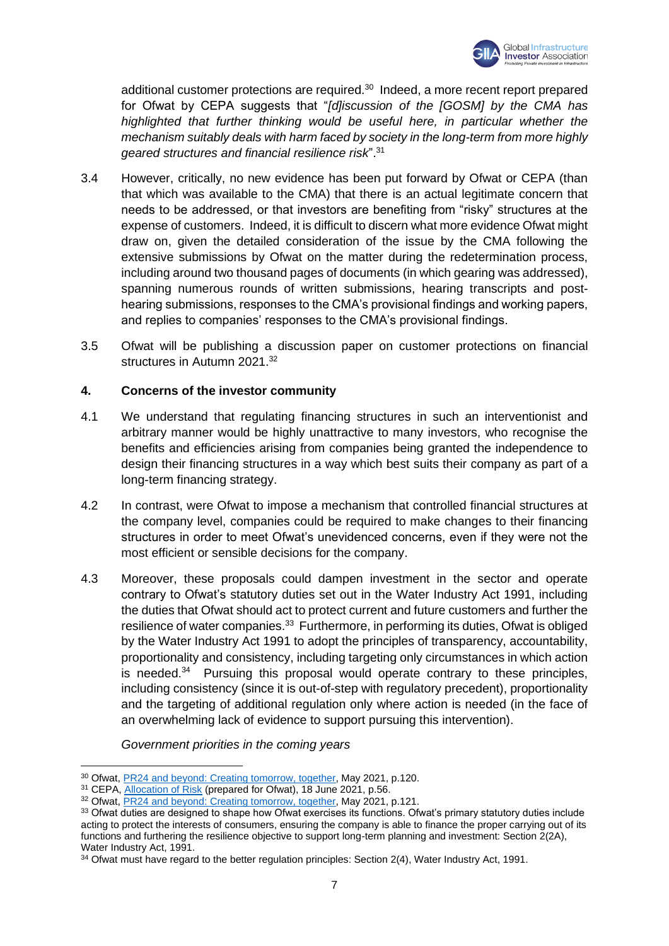

additional customer protections are required.<sup>30</sup> Indeed, a more recent report prepared for Ofwat by CEPA suggests that "*[d]iscussion of the [GOSM] by the CMA has highlighted that further thinking would be useful here, in particular whether the mechanism suitably deals with harm faced by society in the long-term from more highly geared structures and financial resilience risk*".<sup>31</sup>

- 3.4 However, critically, no new evidence has been put forward by Ofwat or CEPA (than that which was available to the CMA) that there is an actual legitimate concern that needs to be addressed, or that investors are benefiting from "risky" structures at the expense of customers. Indeed, it is difficult to discern what more evidence Ofwat might draw on, given the detailed consideration of the issue by the CMA following the extensive submissions by Ofwat on the matter during the redetermination process, including around two thousand pages of documents (in which gearing was addressed), spanning numerous rounds of written submissions, hearing transcripts and posthearing submissions, responses to the CMA's provisional findings and working papers, and replies to companies' responses to the CMA's provisional findings.
- 3.5 Ofwat will be publishing a discussion paper on customer protections on financial structures in Autumn 2021.<sup>32</sup>

# **4. Concerns of the investor community**

- 4.1 We understand that regulating financing structures in such an interventionist and arbitrary manner would be highly unattractive to many investors, who recognise the benefits and efficiencies arising from companies being granted the independence to design their financing structures in a way which best suits their company as part of a long-term financing strategy.
- 4.2 In contrast, were Ofwat to impose a mechanism that controlled financial structures at the company level, companies could be required to make changes to their financing structures in order to meet Ofwat's unevidenced concerns, even if they were not the most efficient or sensible decisions for the company.
- 4.3 Moreover, these proposals could dampen investment in the sector and operate contrary to Ofwat's statutory duties set out in the Water Industry Act 1991, including the duties that Ofwat should act to protect current and future customers and further the resilience of water companies.<sup>33</sup> Furthermore, in performing its duties, Ofwat is obliged by the Water Industry Act 1991 to adopt the principles of transparency, accountability, proportionality and consistency, including targeting only circumstances in which action is needed.<sup>34</sup> Pursuing this proposal would operate contrary to these principles, including consistency (since it is out-of-step with regulatory precedent), proportionality and the targeting of additional regulation only where action is needed (in the face of an overwhelming lack of evidence to support pursuing this intervention).

*Government priorities in the coming years*

<sup>&</sup>lt;sup>30</sup> Ofwat[, PR24 and beyond: Creating tomorrow, together,](https://www.ofwat.gov.uk/wp-content/uploads/2021/05/PR24-and-Beyond-Creating-tomorrow-together.pdf) May 2021, p.120.

<sup>&</sup>lt;sup>31</sup> CEPA[, Allocation of Risk](https://www.ofwat.gov.uk/wp-content/uploads/2021/06/CEPA-report-Allocation-of-risk.pdf) (prepared for Ofwat), 18 June 2021, p.56.

<sup>32</sup> Ofwat[, PR24 and beyond: Creating tomorrow, together,](https://www.ofwat.gov.uk/wp-content/uploads/2021/05/PR24-and-Beyond-Creating-tomorrow-together.pdf) May 2021, p.121.

<sup>33</sup> Ofwat duties are designed to shape how Ofwat exercises its functions. Ofwat's primary statutory duties include acting to protect the interests of consumers, ensuring the company is able to finance the proper carrying out of its functions and furthering the resilience objective to support long-term planning and investment: Section 2(2A), Water Industry Act, 1991.

<sup>&</sup>lt;sup>34</sup> Ofwat must have regard to the better regulation principles: Section 2(4), Water Industry Act, 1991.